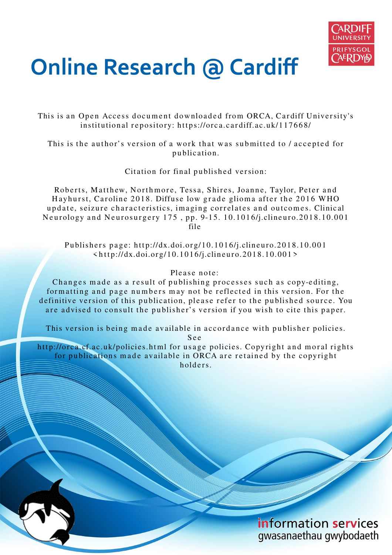

# **Online Research @ Cardiff**

This is an Open Access document downloaded from ORCA, Cardiff University's institutional repository: https://orca.cardiff.ac.uk/117668/

This is the author's version of a work that was submitted to / accepted for p u blication.

Citation for final published version:

Roberts, Matthew, Northmore, Tessa, Shires, Joanne, Taylor, Peter and Hayhurst, Caroline 2018. Diffuse low grade glioma after the 2016 WHO update, seizure characteristics, imaging correlates and outcomes. Clinical Neurology and Neurosurgery 175, pp. 9-15. 10.1016/j.clineuro.2018.10.001 file

Publishers page: http://dx.doi.org/10.1016/j.clineuro.2018.10.001  $\langle$ http://dx.doi.org/10.1016/j.clineuro.2018.10.001>

#### Please note:

Changes made as a result of publishing processes such as copy-editing, formatting and page numbers may not be reflected in this version. For the definitive version of this publication, please refer to the published source. You are advised to consult the publisher's version if you wish to cite this paper.

This version is being made available in accordance with publisher policies.

S e e

http://orca.cf.ac.uk/policies.html for usage policies. Copyright and moral rights for publications made available in ORCA are retained by the copyright holders.

> information services gwasanaethau gwybodaeth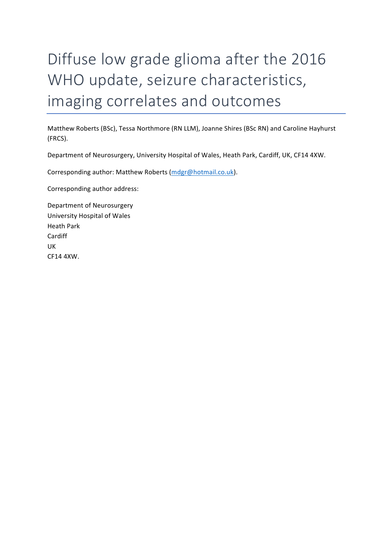# Diffuse low grade glioma after the 2016 WHO update, seizure characteristics, imaging correlates and outcomes

Matthew Roberts (BSc), Tessa Northmore (RN LLM), Joanne Shires (BSc RN) and Caroline Hayhurst (FRCS).

Department of Neurosurgery, University Hospital of Wales, Heath Park, Cardiff, UK, CF14 4XW.

Corresponding author: Matthew Roberts (mdgr@hotmail.co.uk).

Corresponding author address:

Department of Neurosurgery University Hospital of Wales Heath Park Cardiff UK CF14 4XW.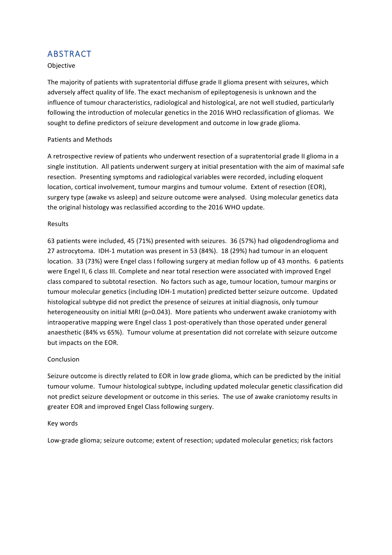# ABSTRACT

#### Objective

The majority of patients with supratentorial diffuse grade II glioma present with seizures, which adversely affect quality of life. The exact mechanism of epileptogenesis is unknown and the influence of tumour characteristics, radiological and histological, are not well studied, particularly following the introduction of molecular genetics in the 2016 WHO reclassification of gliomas. We sought to define predictors of seizure development and outcome in low grade glioma.

#### Patients and Methods

A retrospective review of patients who underwent resection of a supratentorial grade II glioma in a single institution. All patients underwent surgery at initial presentation with the aim of maximal safe resection. Presenting symptoms and radiological variables were recorded, including eloquent location, cortical involvement, tumour margins and tumour volume. Extent of resection (EOR), surgery type (awake vs asleep) and seizure outcome were analysed. Using molecular genetics data the original histology was reclassified according to the 2016 WHO update.

#### Results

63 patients were included, 45 (71%) presented with seizures. 36 (57%) had oligodendroglioma and 27 astrocytoma. IDH-1 mutation was present in 53 (84%). 18 (29%) had tumour in an eloquent location. 33 (73%) were Engel class I following surgery at median follow up of 43 months. 6 patients were Engel II, 6 class III. Complete and near total resection were associated with improved Engel class compared to subtotal resection. No factors such as age, tumour location, tumour margins or tumour molecular genetics (including IDH-1 mutation) predicted better seizure outcome. Updated histological subtype did not predict the presence of seizures at initial diagnosis, only tumour heterogeneousity on initial MRI (p=0.043). More patients who underwent awake craniotomy with intraoperative mapping were Engel class 1 post-operatively than those operated under general anaesthetic (84% vs 65%). Tumour volume at presentation did not correlate with seizure outcome but impacts on the EOR.

#### Conclusion

Seizure outcome is directly related to EOR in low grade glioma, which can be predicted by the initial tumour volume. Tumour histological subtype, including updated molecular genetic classification did not predict seizure development or outcome in this series. The use of awake craniotomy results in greater EOR and improved Engel Class following surgery.

#### Key words

Low-grade glioma; seizure outcome; extent of resection; updated molecular genetics; risk factors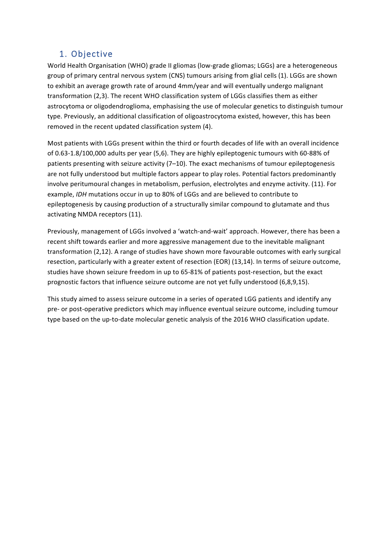# 1. Objective

World Health Organisation (WHO) grade II gliomas (low-grade gliomas; LGGs) are a heterogeneous group of primary central nervous system (CNS) tumours arising from glial cells (1). LGGs are shown to exhibit an average growth rate of around 4mm/year and will eventually undergo malignant transformation (2,3). The recent WHO classification system of LGGs classifies them as either astrocytoma or oligodendroglioma, emphasising the use of molecular genetics to distinguish tumour type. Previously, an additional classification of oligoastrocytoma existed, however, this has been removed in the recent updated classification system (4).

Most patients with LGGs present within the third or fourth decades of life with an overall incidence of 0.63-1.8/100,000 adults per year (5,6). They are highly epileptogenic tumours with 60-88% of patients presenting with seizure activity  $(7-10)$ . The exact mechanisms of tumour epileptogenesis are not fully understood but multiple factors appear to play roles. Potential factors predominantly involve peritumoural changes in metabolism, perfusion, electrolytes and enzyme activity. (11). For example, *IDH* mutations occur in up to 80% of LGGs and are believed to contribute to epileptogenesis by causing production of a structurally similar compound to glutamate and thus activating NMDA receptors (11).

Previously, management of LGGs involved a 'watch-and-wait' approach. However, there has been a recent shift towards earlier and more aggressive management due to the inevitable malignant transformation (2,12). A range of studies have shown more favourable outcomes with early surgical resection, particularly with a greater extent of resection (EOR) (13,14). In terms of seizure outcome, studies have shown seizure freedom in up to 65-81% of patients post-resection, but the exact prognostic factors that influence seizure outcome are not yet fully understood (6,8,9,15).

This study aimed to assess seizure outcome in a series of operated LGG patients and identify any pre- or post-operative predictors which may influence eventual seizure outcome, including tumour type based on the up-to-date molecular genetic analysis of the 2016 WHO classification update.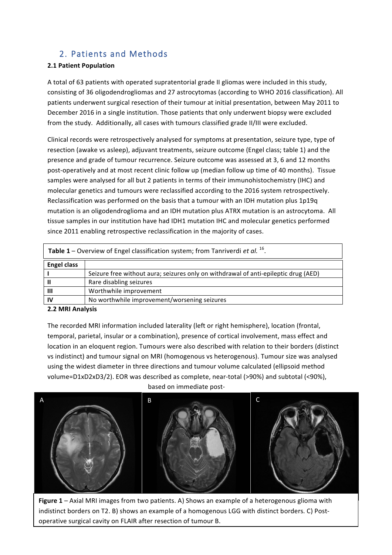## 2. Patients and Methods

#### **2.1 Patient Population**

A total of 63 patients with operated supratentorial grade II gliomas were included in this study, consisting of 36 oligodendrogliomas and 27 astrocytomas (according to WHO 2016 classification). All patients underwent surgical resection of their tumour at initial presentation, between May 2011 to December 2016 in a single institution. Those patients that only underwent biopsy were excluded from the study. Additionally, all cases with tumours classified grade II/III were excluded.

Clinical records were retrospectively analysed for symptoms at presentation, seizure type, type of resection (awake vs asleep), adjuvant treatments, seizure outcome (Engel class; table 1) and the presence and grade of tumour recurrence. Seizure outcome was assessed at 3, 6 and 12 months post-operatively and at most recent clinic follow up (median follow up time of 40 months). Tissue samples were analysed for all but 2 patients in terms of their immunohistochemistry (IHC) and molecular genetics and tumours were reclassified according to the 2016 system retrospectively. Reclassification was performed on the basis that a tumour with an IDH mutation plus 1p19q mutation is an oligodendroglioma and an IDH mutation plus ATRX mutation is an astrocytoma. All tissue samples in our institution have had IDH1 mutation IHC and molecular genetics performed since 2011 enabling retrospective reclassification in the majority of cases.

| <b>Table 1 –</b> Overview of Engel classification system; from Tanriverdi <i>et al.</i> <sup>16</sup> . |                                                                                     |  |  |  |
|---------------------------------------------------------------------------------------------------------|-------------------------------------------------------------------------------------|--|--|--|
| <b>Engel class</b>                                                                                      |                                                                                     |  |  |  |
|                                                                                                         | Seizure free without aura; seizures only on withdrawal of anti-epileptic drug (AED) |  |  |  |
|                                                                                                         | Rare disabling seizures                                                             |  |  |  |
| Ш                                                                                                       | Worthwhile improvement                                                              |  |  |  |
| IV                                                                                                      | No worthwhile improvement/worsening seizures                                        |  |  |  |

#### **2.2 MRI Analysis**

The recorded MRI information included laterality (left or right hemisphere), location (frontal, temporal, parietal, insular or a combination), presence of cortical involvement, mass effect and location in an eloquent region. Tumours were also described with relation to their borders (distinct vs indistinct) and tumour signal on MRI (homogenous vs heterogenous). Tumour size was analysed using the widest diameter in three directions and tumour volume calculated (ellipsoid method volume=D1xD2xD3/2). EOR was described as complete, near-total (>90%) and subtotal (<90%),

based on immediate post-



**Figure 1** – Axial MRI images from two patients. A) Shows an example of a heterogenous glioma with indistinct borders on T2. B) shows an example of a homogenous LGG with distinct borders. C) Postoperative surgical cavity on FLAIR after resection of tumour B.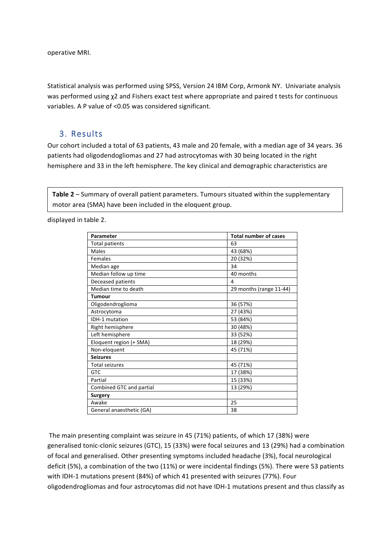operative MRI.

Statistical analysis was performed using SPSS, Version 24 IBM Corp, Armonk NY. Univariate analysis was performed using  $\chi$ 2 and Fishers exact test where appropriate and paired t tests for continuous variables. A P value of <0.05 was considered significant.

#### 3. Results

Our cohort included a total of 63 patients, 43 male and 20 female, with a median age of 34 years. 36 patients had oligodendogliomas and 27 had astrocytomas with 30 being located in the right hemisphere and 33 in the left hemisphere. The key clinical and demographic characteristics are

**Table 2** – Summary of overall patient parameters. Tumours situated within the supplementary motor area (SMA) have been included in the eloquent group.

displayed in table 2.

| Parameter                | <b>Total number of cases</b> |
|--------------------------|------------------------------|
| Total patients           | 63                           |
| Males                    | 43 (68%)                     |
| Females                  | 20 (32%)                     |
| Median age               | 34                           |
| Median follow up time    | 40 months                    |
| Deceased patients        | 4                            |
| Median time to death     | 29 months (range 11-44)      |
| <b>Tumour</b>            |                              |
| Oligodendroglioma        | 36 (57%)                     |
| Astrocytoma              | 27 (43%)                     |
| IDH-1 mutation           | 53 (84%)                     |
| Right hemisphere         | 30 (48%)                     |
| Left hemisphere          | 33 (52%)                     |
| Eloquent region (+ SMA)  | 18 (29%)                     |
| Non-eloquent             | 45 (71%)                     |
| <b>Seizures</b>          |                              |
| <b>Total seizures</b>    | 45 (71%)                     |
| <b>GTC</b>               | 17 (38%)                     |
| Partial                  | 15 (33%)                     |
| Combined GTC and partial | 13 (29%)                     |
| Surgery                  |                              |
| Awake                    | 25                           |
| General anaesthetic (GA) | 38                           |

The main presenting complaint was seizure in 45 (71%) patients, of which 17 (38%) were generalised tonic-clonic seizures (GTC), 15 (33%) were focal seizures and 13 (29%) had a combination of focal and generalised. Other presenting symptoms included headache (3%), focal neurological deficit (5%), a combination of the two (11%) or were incidental findings (5%). There were 53 patients with IDH-1 mutations present (84%) of which 41 presented with seizures (77%). Four oligodendrogliomas and four astrocytomas did not have IDH-1 mutations present and thus classify as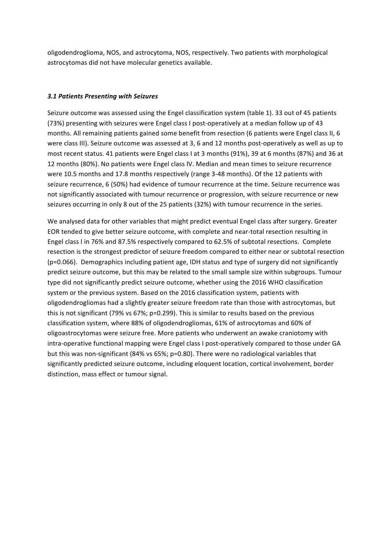oligodendroglioma, NOS, and astrocytoma, NOS, respectively. Two patients with morphological astrocytomas did not have molecular genetics available.

#### *3.1 Patients Presenting with Seizures*

Seizure outcome was assessed using the Engel classification system (table 1). 33 out of 45 patients (73%) presenting with seizures were Engel class I post-operatively at a median follow up of 43 months. All remaining patients gained some benefit from resection (6 patients were Engel class II, 6 were class III). Seizure outcome was assessed at 3, 6 and 12 months post-operatively as well as up to most recent status. 41 patients were Engel class I at 3 months (91%), 39 at 6 months (87%) and 36 at 12 months (80%). No patients were Engel class IV. Median and mean times to seizure recurrence were 10.5 months and 17.8 months respectively (range 3-48 months). Of the 12 patients with seizure recurrence, 6 (50%) had evidence of tumour recurrence at the time. Seizure recurrence was not significantly associated with tumour recurrence or progression, with seizure recurrence or new seizures occurring in only 8 out of the 25 patients (32%) with tumour recurrence in the series.

We analysed data for other variables that might predict eventual Engel class after surgery. Greater EOR tended to give better seizure outcome, with complete and near-total resection resulting in Engel class I in 76% and 87.5% respectively compared to 62.5% of subtotal resections. Complete resection is the strongest predictor of seizure freedom compared to either near or subtotal resection  $(p=0.066)$ . Demographics including patient age, IDH status and type of surgery did not significantly predict seizure outcome, but this may be related to the small sample size within subgroups. Tumour type did not significantly predict seizure outcome, whether using the 2016 WHO classification system or the previous system. Based on the 2016 classification system, patients with oligodendrogliomas had a slightly greater seizure freedom rate than those with astrocytomas, but this is not significant (79% vs 67%;  $p=0.299$ ). This is similar to results based on the previous classification system, where 88% of oligodendrogliomas, 61% of astrocytomas and 60% of oligoastrocytomas were seizure free. More patients who underwent an awake craniotomy with intra-operative functional mapping were Engel class I post-operatively compared to those under GA but this was non-significant (84% vs 65%; p=0.80). There were no radiological variables that significantly predicted seizure outcome, including eloquent location, cortical involvement, border distinction, mass effect or tumour signal.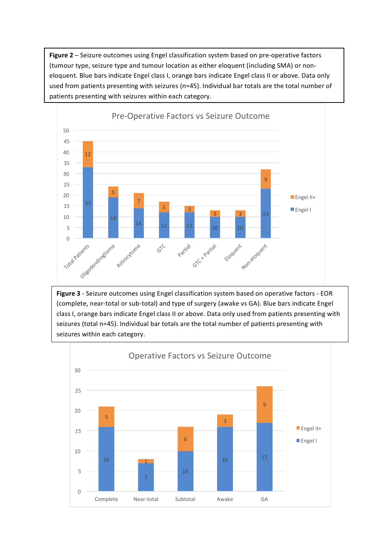Figure 2 - Seizure outcomes using Engel classification system based on pre-operative factors (tumour type, seizure type and tumour location as either eloquent (including SMA) or noneloquent. Blue bars indicate Engel class I, orange bars indicate Engel class II or above. Data only used from patients presenting with seizures (n=45). Individual bar totals are the total number of patients presenting with seizures within each category.



**Figure 3** - Seizure outcomes using Engel classification system based on operative factors - EOR (complete, near-total or sub-total) and type of surgery (awake vs GA). Blue bars indicate Engel class I, orange bars indicate Engel class II or above. Data only used from patients presenting with seizures (total n=45). Individual bar totals are the total number of patients presenting with seizures within each category.

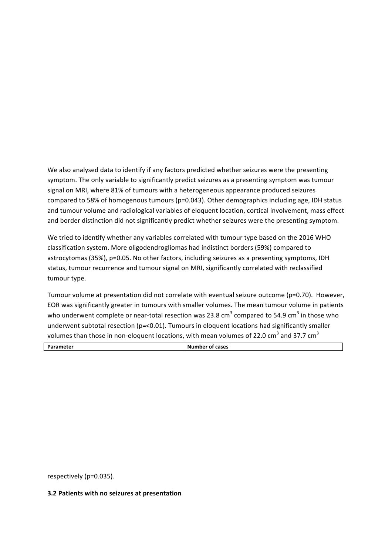We also analysed data to identify if any factors predicted whether seizures were the presenting symptom. The only variable to significantly predict seizures as a presenting symptom was tumour signal on MRI, where 81% of tumours with a heterogeneous appearance produced seizures compared to 58% of homogenous tumours ( $p=0.043$ ). Other demographics including age, IDH status and tumour volume and radiological variables of eloquent location, cortical involvement, mass effect and border distinction did not significantly predict whether seizures were the presenting symptom.

We tried to identify whether any variables correlated with tumour type based on the 2016 WHO classification system. More oligodendrogliomas had indistinct borders (59%) compared to astrocytomas (35%), p=0.05. No other factors, including seizures as a presenting symptoms, IDH status, tumour recurrence and tumour signal on MRI, significantly correlated with reclassified tumour type.

Tumour volume at presentation did not correlate with eventual seizure outcome (p=0.70). However, EOR was significantly greater in tumours with smaller volumes. The mean tumour volume in patients who underwent complete or near-total resection was 23.8 cm<sup>3</sup> compared to 54.9 cm<sup>3</sup> in those who underwent subtotal resection ( $p = 0.01$ ). Tumours in eloquent locations had significantly smaller volumes than those in non-eloquent locations, with mean volumes of 22.0 cm<sup>3</sup> and 37.7 cm<sup>3</sup>

|--|

respectively (p=0.035).

#### **3.2 Patients with no seizures at presentation**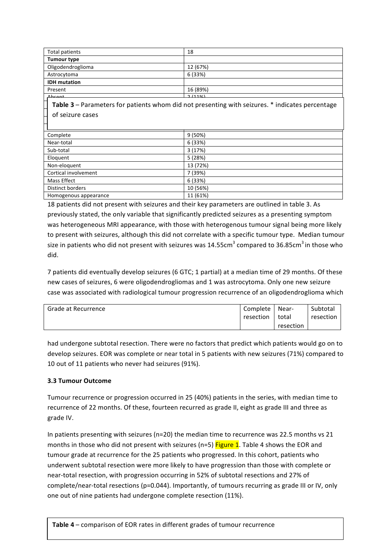| Total patients      | 18       |
|---------------------|----------|
| Tumour type         |          |
| Oligodendroglioma   | 12 (67%) |
| Astrocytoma         | 6 (33%)  |
| <b>IDH</b> mutation |          |
| Present             | 16 (89%) |
| <b>Ahcant</b>       | 7/110/1  |

**Table 3** – Parameters for patients whom did not presenting with seizures. \* indicates percentage of seizure cases Partial 1 (14%)\*

| Complete              | 9(50%)   |
|-----------------------|----------|
| Near-total            | 6 (33%)  |
| Sub-total             | 3(17%)   |
| Eloquent              | 5(28%)   |
| Non-eloquent          | 13 (72%) |
| Cortical involvement  | 7 (39%)  |
| Mass Effect           | 6 (33%)  |
| Distinct borders      | 10 (56%) |
| Homogenous appearance | 11 (61%) |

18 patients did not present with seizures and their key parameters are outlined in table 3. As previously stated, the only variable that significantly predicted seizures as a presenting symptom was heterogeneous MRI appearance, with those with heterogenous tumour signal being more likely to present with seizures, although this did not correlate with a specific tumour type. Median tumour size in patients who did not present with seizures was 14.55cm $^3$  compared to 36.85cm $^3$  in those who did. 

7 patients did eventually develop seizures (6 GTC; 1 partial) at a median time of 29 months. Of these new cases of seizures, 6 were oligodendrogliomas and 1 was astrocytoma. Only one new seizure case was associated with radiological tumour progression recurrence of an oligodendroglioma which

| Grade at Recurrence | Complete  | Near-     | Subtotal  |
|---------------------|-----------|-----------|-----------|
|                     | resection | total     | resection |
|                     |           | resection |           |

had undergone subtotal resection. There were no factors that predict which patients would go on to develop seizures. EOR was complete or near total in 5 patients with new seizures (71%) compared to 10 out of 11 patients who never had seizures (91%).

#### **3.3 Tumour Outcome**

Tumour recurrence or progression occurred in 25 (40%) patients in the series, with median time to recurrence of 22 months. Of these, fourteen recurred as grade II, eight as grade III and three as grade IV.

In patients presenting with seizures ( $n=20$ ) the median time to recurrence was 22.5 months vs 21 months in those who did not present with seizures (n=5) Figure 1. Table 4 shows the EOR and tumour grade at recurrence for the 25 patients who progressed. In this cohort, patients who underwent subtotal resection were more likely to have progression than those with complete or near-total resection, with progression occurring in 52% of subtotal resections and 27% of complete/near-total resections ( $p=0.044$ ). Importantly, of tumours recurring as grade III or IV, only one out of nine patients had undergone complete resection (11%).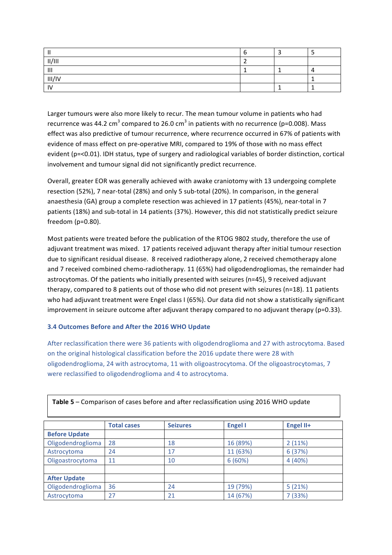| . .            |  |  |
|----------------|--|--|
| II/III         |  |  |
| $\mathbf{III}$ |  |  |
| III/IV         |  |  |
| $\mathbf{u}$   |  |  |

Larger tumours were also more likely to recur. The mean tumour volume in patients who had recurrence was 44.2 cm<sup>3</sup> compared to 26.0 cm<sup>3</sup> in patients with no recurrence (p=0.008). Mass effect was also predictive of tumour recurrence, where recurrence occurred in 67% of patients with evidence of mass effect on pre-operative MRI, compared to 19% of those with no mass effect evident (p=<0.01). IDH status, type of surgery and radiological variables of border distinction, cortical involvement and tumour signal did not significantly predict recurrence.

Overall, greater EOR was generally achieved with awake craniotomy with 13 undergoing complete resection (52%), 7 near-total (28%) and only 5 sub-total (20%). In comparison, in the general anaesthesia (GA) group a complete resection was achieved in 17 patients (45%), near-total in 7 patients (18%) and sub-total in 14 patients (37%). However, this did not statistically predict seizure freedom  $(p=0.80)$ .

Most patients were treated before the publication of the RTOG 9802 study, therefore the use of adjuvant treatment was mixed. 17 patients received adjuvant therapy after initial tumour resection due to significant residual disease. 8 received radiotherapy alone, 2 received chemotherapy alone and 7 received combined chemo-radiotherapy. 11 (65%) had oligodendrogliomas, the remainder had astrocytomas. Of the patients who initially presented with seizures (n=45), 9 received adjuvant therapy, compared to 8 patients out of those who did not present with seizures ( $n=18$ ). 11 patients who had adjuvant treatment were Engel class I (65%). Our data did not show a statistically significant improvement in seizure outcome after adjuvant therapy compared to no adjuvant therapy ( $p=0.33$ ).

#### **3.4 Outcomes Before and After the 2016 WHO Update**

After reclassification there were 36 patients with oligodendroglioma and 27 with astrocytoma. Based on the original histological classification before the 2016 update there were 28 with oligodendroglioma, 24 with astrocytoma, 11 with oligoastrocytoma. Of the oligoastrocytomas, 7 were reclassified to oligodendroglioma and 4 to astrocytoma.

|                      | <b>Total cases</b> | <b>Seizures</b> | <b>Engel I</b> | Engel II+ |
|----------------------|--------------------|-----------------|----------------|-----------|
| <b>Before Update</b> |                    |                 |                |           |
| Oligodendroglioma    | 28                 | 18              | 16 (89%)       | 2(11%)    |
| Astrocytoma          | 24                 | 17              | 11 (63%)       | 6 (37%)   |
| Oligoastrocytoma     | 11                 | 10              | 6(60%)         | 4 (40%)   |
|                      |                    |                 |                |           |
| <b>After Update</b>  |                    |                 |                |           |
| Oligodendroglioma    | 36                 | 24              | 19 (79%)       | 5(21%)    |
| Astrocytoma          | 27                 | 21              | 14 (67%)       | 7 (33%)   |

Table 5 – Comparison of cases before and after reclassification using 2016 WHO update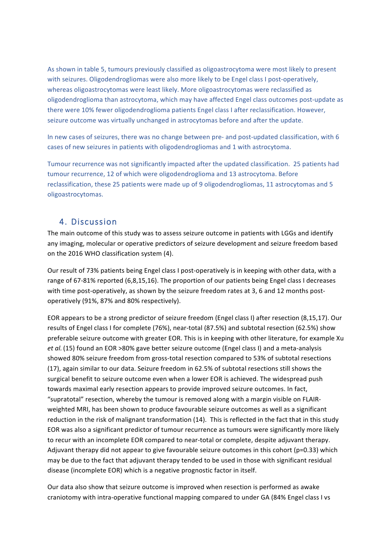As shown in table 5, tumours previously classified as oligoastrocytoma were most likely to present with seizures. Oligodendrogliomas were also more likely to be Engel class I post-operatively, whereas oligoastrocytomas were least likely. More oligoastrocytomas were reclassified as oligodendroglioma than astrocytoma, which may have affected Engel class outcomes post-update as there were 10% fewer oligodendroglioma patients Engel class I after reclassification. However, seizure outcome was virtually unchanged in astrocytomas before and after the update.

In new cases of seizures, there was no change between pre- and post-updated classification, with 6 cases of new seizures in patients with oligodendrogliomas and 1 with astrocytoma.

Tumour recurrence was not significantly impacted after the updated classification. 25 patients had tumour recurrence, 12 of which were oligodendroglioma and 13 astrocytoma. Before reclassification, these 25 patients were made up of 9 oligodendrogliomas, 11 astrocytomas and 5 oligoastrocytomas. 

#### 4. Discussion

The main outcome of this study was to assess seizure outcome in patients with LGGs and identify any imaging, molecular or operative predictors of seizure development and seizure freedom based on the 2016 WHO classification system (4).

Our result of 73% patients being Engel class I post-operatively is in keeping with other data, with a range of 67-81% reported (6,8,15,16). The proportion of our patients being Engel class I decreases with time post-operatively, as shown by the seizure freedom rates at 3, 6 and 12 months postoperatively (91%, 87% and 80% respectively).

EOR appears to be a strong predictor of seizure freedom (Engel class I) after resection (8,15,17). Our results of Engel class I for complete (76%), near-total (87.5%) and subtotal resection (62.5%) show preferable seizure outcome with greater EOR. This is in keeping with other literature, for example Xu *et al.* (15) found an EOR >80% gave better seizure outcome (Engel class I) and a meta-analysis showed 80% seizure freedom from gross-total resection compared to 53% of subtotal resections (17), again similar to our data. Seizure freedom in 62.5% of subtotal resections still shows the surgical benefit to seizure outcome even when a lower EOR is achieved. The widespread push towards maximal early resection appears to provide improved seizure outcomes. In fact, "supratotal" resection, whereby the tumour is removed along with a margin visible on FLAIRweighted MRI, has been shown to produce favourable seizure outcomes as well as a significant reduction in the risk of malignant transformation (14). This is reflected in the fact that in this study EOR was also a significant predictor of tumour recurrence as tumours were significantly more likely to recur with an incomplete EOR compared to near-total or complete, despite adjuvant therapy. Adjuvant therapy did not appear to give favourable seizure outcomes in this cohort (p=0.33) which may be due to the fact that adjuvant therapy tended to be used in those with significant residual disease (incomplete EOR) which is a negative prognostic factor in itself.

Our data also show that seizure outcome is improved when resection is performed as awake craniotomy with intra-operative functional mapping compared to under GA (84% Engel class I vs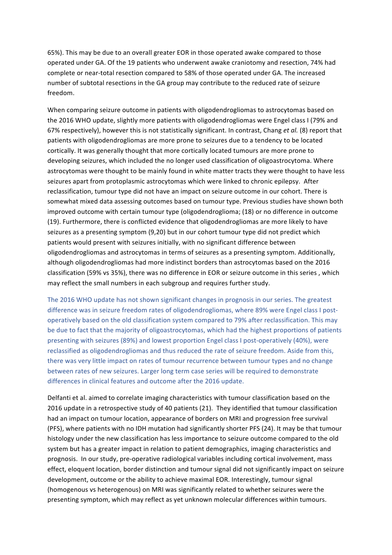65%). This may be due to an overall greater EOR in those operated awake compared to those operated under GA. Of the 19 patients who underwent awake craniotomy and resection, 74% had complete or near-total resection compared to 58% of those operated under GA. The increased number of subtotal resections in the GA group may contribute to the reduced rate of seizure freedom. 

When comparing seizure outcome in patients with oligodendrogliomas to astrocytomas based on the 2016 WHO update, slightly more patients with oligodendrogliomas were Engel class I (79% and 67% respectively), however this is not statistically significant. In contrast, Chang et al. (8) report that patients with oligodendrogliomas are more prone to seizures due to a tendency to be located cortically. It was generally thought that more cortically located tumours are more prone to developing seizures, which included the no longer used classification of oligoastrocytoma. Where astrocytomas were thought to be mainly found in white matter tracts they were thought to have less seizures apart from protoplasmic astrocytomas which were linked to chronic epilepsy. After reclassification, tumour type did not have an impact on seizure outcome in our cohort. There is somewhat mixed data assessing outcomes based on tumour type. Previous studies have shown both improved outcome with certain tumour type (oligodendroglioma; (18) or no difference in outcome (19). Furthermore, there is conflicted evidence that oligodendrogliomas are more likely to have seizures as a presenting symptom (9,20) but in our cohort tumour type did not predict which patients would present with seizures initially, with no significant difference between oligodendrogliomas and astrocytomas in terms of seizures as a presenting symptom. Additionally, although oligodendrogliomas had more indistinct borders than astrocytomas based on the 2016 classification (59% vs 35%), there was no difference in EOR or seizure outcome in this series, which may reflect the small numbers in each subgroup and requires further study.

The 2016 WHO update has not shown significant changes in prognosis in our series. The greatest difference was in seizure freedom rates of oligodendrogliomas, where 89% were Engel class I postoperatively based on the old classification system compared to 79% after reclassification. This may be due to fact that the majority of oligoastrocytomas, which had the highest proportions of patients presenting with seizures (89%) and lowest proportion Engel class I post-operatively (40%), were reclassified as oligodendrogliomas and thus reduced the rate of seizure freedom. Aside from this, there was very little impact on rates of tumour recurrence between tumour types and no change between rates of new seizures. Larger long term case series will be required to demonstrate differences in clinical features and outcome after the 2016 update.

Delfanti et al. aimed to correlate imaging characteristics with tumour classification based on the 2016 update in a retrospective study of 40 patients (21). They identified that tumour classification had an impact on tumour location, appearance of borders on MRI and progression free survival (PFS), where patients with no IDH mutation had significantly shorter PFS (24). It may be that tumour histology under the new classification has less importance to seizure outcome compared to the old system but has a greater impact in relation to patient demographics, imaging characteristics and prognosis. In our study, pre-operative radiological variables including cortical involvement, mass effect, eloquent location, border distinction and tumour signal did not significantly impact on seizure development, outcome or the ability to achieve maximal EOR. Interestingly, tumour signal (homogenous vs heterogenous) on MRI was significantly related to whether seizures were the presenting symptom, which may reflect as yet unknown molecular differences within tumours.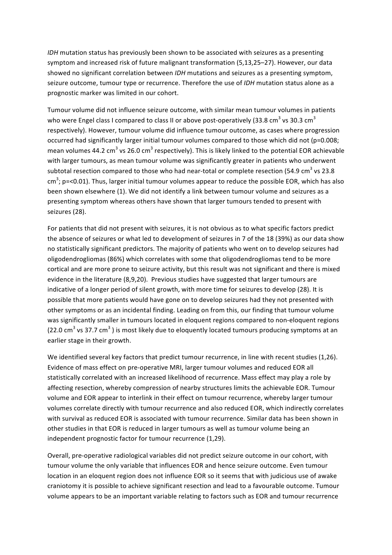*IDH* mutation status has previously been shown to be associated with seizures as a presenting symptom and increased risk of future malignant transformation (5,13,25–27). However, our data showed no significant correlation between *IDH* mutations and seizures as a presenting symptom, seizure outcome, tumour type or recurrence. Therefore the use of *IDH* mutation status alone as a prognostic marker was limited in our cohort.

Tumour volume did not influence seizure outcome, with similar mean tumour volumes in patients who were Engel class I compared to class II or above post-operatively (33.8 cm $^3$  vs 30.3 cm $^3$ respectively). However, tumour volume did influence tumour outcome, as cases where progression occurred had significantly larger initial tumour volumes compared to those which did not ( $p=0.008$ ; mean volumes 44.2 cm<sup>3</sup> vs 26.0 cm<sup>3</sup> respectively). This is likely linked to the potential EOR achievable with larger tumours, as mean tumour volume was significantly greater in patients who underwent subtotal resection compared to those who had near-total or complete resection (54.9 cm<sup>3</sup> vs 23.8 cm<sup>3</sup>; p=<0.01). Thus, larger initial tumour volumes appear to reduce the possible EOR, which has also been shown elsewhere (1). We did not identify a link between tumour volume and seizures as a presenting symptom whereas others have shown that larger tumours tended to present with seizures (28).

For patients that did not present with seizures, it is not obvious as to what specific factors predict the absence of seizures or what led to development of seizures in 7 of the 18 (39%) as our data show no statistically significant predictors. The majority of patients who went on to develop seizures had oligodendrogliomas (86%) which correlates with some that oligodendrogliomas tend to be more cortical and are more prone to seizure activity, but this result was not significant and there is mixed evidence in the literature (8,9,20). Previous studies have suggested that larger tumours are indicative of a longer period of silent growth, with more time for seizures to develop (28). It is possible that more patients would have gone on to develop seizures had they not presented with other symptoms or as an incidental finding. Leading on from this, our finding that tumour volume was significantly smaller in tumours located in eloquent regions compared to non-eloquent regions (22.0 cm<sup>3</sup> vs 37.7 cm<sup>3</sup>) is most likely due to eloquently located tumours producing symptoms at an earlier stage in their growth.

We identified several key factors that predict tumour recurrence, in line with recent studies (1,26). Evidence of mass effect on pre-operative MRI, larger tumour volumes and reduced EOR all statistically correlated with an increased likelihood of recurrence. Mass effect may play a role by affecting resection, whereby compression of nearby structures limits the achievable EOR. Tumour volume and EOR appear to interlink in their effect on tumour recurrence, whereby larger tumour volumes correlate directly with tumour recurrence and also reduced EOR, which indirectly correlates with survival as reduced EOR is associated with tumour recurrence. Similar data has been shown in other studies in that EOR is reduced in larger tumours as well as tumour volume being an independent prognostic factor for tumour recurrence (1,29).

Overall, pre-operative radiological variables did not predict seizure outcome in our cohort, with tumour volume the only variable that influences EOR and hence seizure outcome. Even tumour location in an eloquent region does not influence EOR so it seems that with judicious use of awake craniotomy it is possible to achieve significant resection and lead to a favourable outcome. Tumour volume appears to be an important variable relating to factors such as EOR and tumour recurrence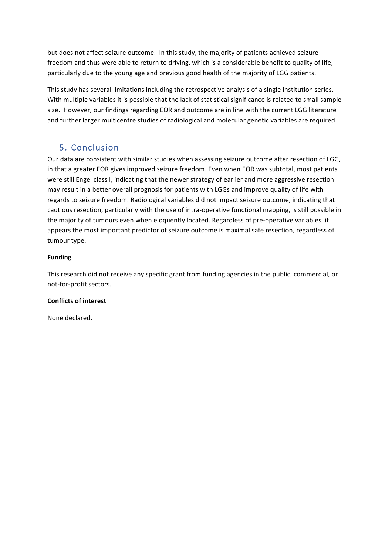but does not affect seizure outcome. In this study, the majority of patients achieved seizure freedom and thus were able to return to driving, which is a considerable benefit to quality of life, particularly due to the young age and previous good health of the majority of LGG patients.

This study has several limitations including the retrospective analysis of a single institution series. With multiple variables it is possible that the lack of statistical significance is related to small sample size. However, our findings regarding EOR and outcome are in line with the current LGG literature and further larger multicentre studies of radiological and molecular genetic variables are required.

# 5. Conclusion

Our data are consistent with similar studies when assessing seizure outcome after resection of LGG, in that a greater EOR gives improved seizure freedom. Even when EOR was subtotal, most patients were still Engel class I, indicating that the newer strategy of earlier and more aggressive resection may result in a better overall prognosis for patients with LGGs and improve quality of life with regards to seizure freedom. Radiological variables did not impact seizure outcome, indicating that cautious resection, particularly with the use of intra-operative functional mapping, is still possible in the majority of tumours even when eloquently located. Regardless of pre-operative variables, it appears the most important predictor of seizure outcome is maximal safe resection, regardless of tumour type.

#### **Funding**

This research did not receive any specific grant from funding agencies in the public, commercial, or not-for-profit sectors.

#### **Conflicts of interest**

None declared.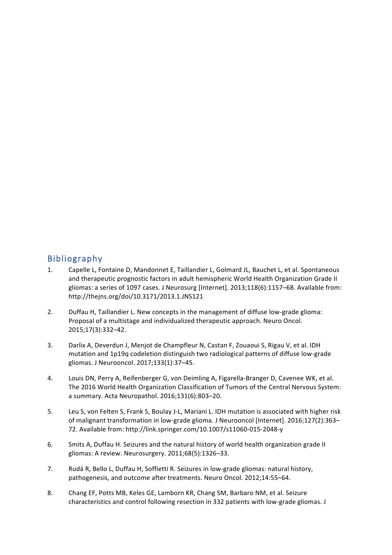## Bibliography

- 1. Capelle L, Fontaine D, Mandonnet E, Taillandier L, Golmard JL, Bauchet L, et al. Spontaneous and therapeutic prognostic factors in adult hemispheric World Health Organization Grade II gliomas: a series of 1097 cases. J Neurosurg [Internet]. 2013;118(6):1157-68. Available from: http://thejns.org/doi/10.3171/2013.1.JNS121
- 2. Duffau H, Taillandier L. New concepts in the management of diffuse low-grade glioma: Proposal of a multistage and individualized therapeutic approach. Neuro Oncol. 2015;17(3):332–42.
- 3. Darlix A, Deverdun J, Menjot de Champfleur N, Castan F, Zouaoui S, Rigau V, et al. IDH mutation and 1p19q codeletion distinguish two radiological patterns of diffuse low-grade gliomas. J Neurooncol. 2017;133(1):37–45.
- 4. Louis DN, Perry A, Reifenberger G, von Deimling A, Figarella-Branger D, Cavenee WK, et al. The 2016 World Health Organization Classification of Tumors of the Central Nervous System: a summary. Acta Neuropathol. 2016;131(6):803-20.
- 5. Leu S, von Felten S, Frank S, Boulay J-L, Mariani L. IDH mutation is associated with higher risk of malignant transformation in low-grade glioma. J Neurooncol [Internet]. 2016;127(2):363– 72. Available from: http://link.springer.com/10.1007/s11060-015-2048-y
- 6. Smits A, Duffau H. Seizures and the natural history of world health organization grade II gliomas: A review. Neurosurgery. 2011;68(5):1326-33.
- 7. Rudá R, Bello L, Duffau H, Soffietti R. Seizures in low-grade gliomas: natural history, pathogenesis, and outcome after treatments. Neuro Oncol. 2012;14:55-64.
- 8. Chang EF, Potts MB, Keles GE, Lamborn KR, Chang SM, Barbaro NM, et al. Seizure characteristics and control following resection in 332 patients with low-grade gliomas. J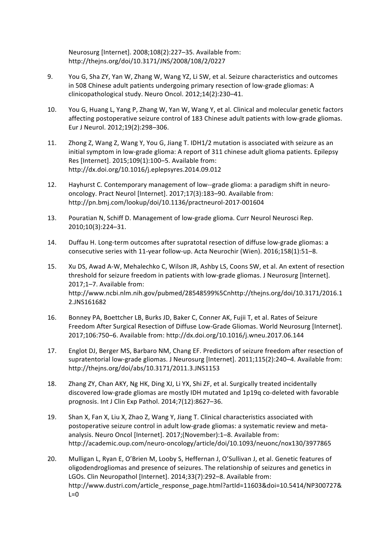Neurosurg [Internet]. 2008;108(2):227-35. Available from: http://thejns.org/doi/10.3171/JNS/2008/108/2/0227

- 9. You G, Sha ZY, Yan W, Zhang W, Wang YZ, Li SW, et al. Seizure characteristics and outcomes in 508 Chinese adult patients undergoing primary resection of low-grade gliomas: A clinicopathological study. Neuro Oncol. 2012;14(2):230-41.
- 10. You G, Huang L, Yang P, Zhang W, Yan W, Wang Y, et al. Clinical and molecular genetic factors affecting postoperative seizure control of 183 Chinese adult patients with low-grade gliomas. Eur J Neurol. 2012;19(2):298-306.
- 11. Zhong Z, Wang Z, Wang Y, You G, Jiang T. IDH1/2 mutation is associated with seizure as an initial symptom in low-grade glioma: A report of 311 chinese adult glioma patients. Epilepsy Res [Internet]. 2015;109(1):100-5. Available from: http://dx.doi.org/10.1016/j.eplepsyres.2014.09.012
- 12. Hayhurst C. Contemporary management of low--grade glioma: a paradigm shift in neurooncology. Pract Neurol [Internet]. 2017;17(3):183-90. Available from: http://pn.bmj.com/lookup/doi/10.1136/practneurol-2017-001604
- 13. Pouratian N, Schiff D. Management of low-grade glioma. Curr Neurol Neurosci Rep. 2010;10(3):224–31.
- 14. Duffau H. Long-term outcomes after supratotal resection of diffuse low-grade gliomas: a consecutive series with 11-year follow-up. Acta Neurochir (Wien). 2016;158(1):51-8.
- 15. Xu DS, Awad A-W, Mehalechko C, Wilson JR, Ashby LS, Coons SW, et al. An extent of resection threshold for seizure freedom in patients with low-grade gliomas. J Neurosurg [Internet]. 2017;1-7. Available from: http://www.ncbi.nlm.nih.gov/pubmed/28548599%5Cnhttp://thejns.org/doi/10.3171/2016.1 2.JNS161682
- 16. Bonney PA, Boettcher LB, Burks JD, Baker C, Conner AK, Fujii T, et al. Rates of Seizure Freedom After Surgical Resection of Diffuse Low-Grade Gliomas. World Neurosurg [Internet]. 2017;106:750-6. Available from: http://dx.doi.org/10.1016/j.wneu.2017.06.144
- 17. Englot DJ, Berger MS, Barbaro NM, Chang EF. Predictors of seizure freedom after resection of supratentorial low-grade gliomas. J Neurosurg [Internet]. 2011;115(2):240-4. Available from: http://thejns.org/doi/abs/10.3171/2011.3.JNS1153
- 18. Zhang ZY, Chan AKY, Ng HK, Ding XJ, Li YX, Shi ZF, et al. Surgically treated incidentally discovered low-grade gliomas are mostly IDH mutated and 1p19q co-deleted with favorable prognosis. Int J Clin Exp Pathol. 2014;7(12):8627-36.
- 19. Shan X, Fan X, Liu X, Zhao Z, Wang Y, Jiang T. Clinical characteristics associated with postoperative seizure control in adult low-grade gliomas: a systematic review and metaanalysis. Neuro Oncol [Internet]. 2017;(November):1-8. Available from: http://academic.oup.com/neuro-oncology/article/doi/10.1093/neuonc/nox130/3977865
- 20. Mulligan L, Ryan E, O'Brien M, Looby S, Heffernan J, O'Sullivan J, et al. Genetic features of oligodendrogliomas and presence of seizures. The relationship of seizures and genetics in LGOs. Clin Neuropathol [Internet]. 2014;33(7):292-8. Available from: http://www.dustri.com/article\_response\_page.html?artId=11603&doi=10.5414/NP300727&  $L=0$